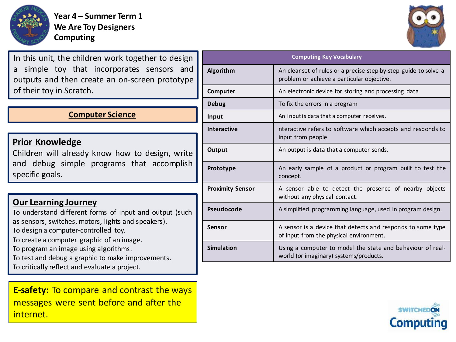

**Year 4 – Summer Term 1 We Are Toy Designers Computing**

In this unit, the children work together to design a simple toy that incorporates sensors and outputs and then create an on-screen prototype of their toy in Scratch.

## **Computer Science**

## **Prior Knowledge**

Children will already know how to design, write and debug simple programs that accomplish specific goals.

## **Our Learning Journey**

To understand different forms of input and output (such as sensors, switches, motors, lights and speakers).

To design a computer-controlled toy.

To create a computer graphic of an image.

To program an image using algorithms.

To test and debug a graphic to make improvements.

To critically reflect and evaluate a project.

**E-safety:** To compare and contrast the ways messages were sent before and after the internet.

| <b>Computing Key Vocabulary</b> |                                                                                                                |
|---------------------------------|----------------------------------------------------------------------------------------------------------------|
| Algorithm                       | An clear set of rules or a precise step-by-step guide to solve a<br>problem or achieve a particular objective. |
| Computer                        | An electronic device for storing and processing data                                                           |
| Debug                           | To fix the errors in a program                                                                                 |
| Input                           | An input is data that a computer receives.                                                                     |
| <b>Interactive</b>              | nteractive refers to software which accepts and responds to<br>input from people                               |
| Output                          | An output is data that a computer sends.                                                                       |
| Prototype                       | An early sample of a product or program built to test the<br>concept.                                          |
| <b>Proximity Sensor</b>         | A sensor able to detect the presence of nearby objects<br>without any physical contact.                        |
| Pseudocode                      | A simplified programming language, used in program design.                                                     |
| Sensor                          | A sensor is a device that detects and responds to some type<br>of input from the physical environment.         |
| <b>Simulation</b>               | Using a computer to model the state and behaviour of real-<br>world (or imaginary) systems/products.           |